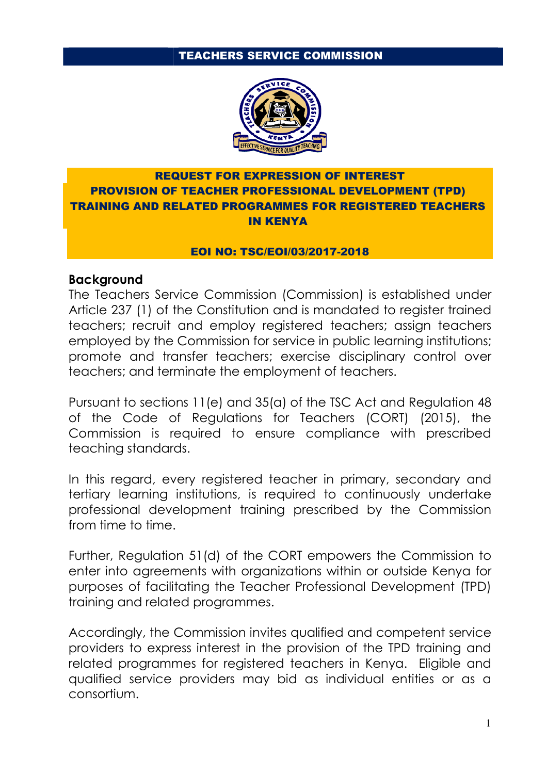#### TEACHERS SERVICE COMMISSION



### REQUEST FOR EXPRESSION OF INTEREST PROVISION OF TEACHER PROFESSIONAL DEVELOPMENT (TPD) TRAINING AND RELATED PROGRAMMES FOR REGISTERED TEACHERS IN KENYA

#### EOI NO: TSC/EOI/03/2017-2018

#### **Background**

The Teachers Service Commission (Commission) is established under Article 237 (1) of the Constitution and is mandated to register trained teachers; recruit and employ registered teachers; assign teachers employed by the Commission for service in public learning institutions; promote and transfer teachers; exercise disciplinary control over teachers; and terminate the employment of teachers.

Pursuant to sections 11(e) and 35(a) of the TSC Act and Regulation 48 of the Code of Regulations for Teachers (CORT) (2015), the Commission is required to ensure compliance with prescribed teaching standards.

In this regard, every registered teacher in primary, secondary and tertiary learning institutions, is required to continuously undertake professional development training prescribed by the Commission from time to time.

Further, Regulation 51(d) of the CORT empowers the Commission to enter into agreements with organizations within or outside Kenya for purposes of facilitating the Teacher Professional Development (TPD) training and related programmes.

Accordingly, the Commission invites qualified and competent service providers to express interest in the provision of the TPD training and related programmes for registered teachers in Kenya. Eligible and qualified service providers may bid as individual entities or as a consortium.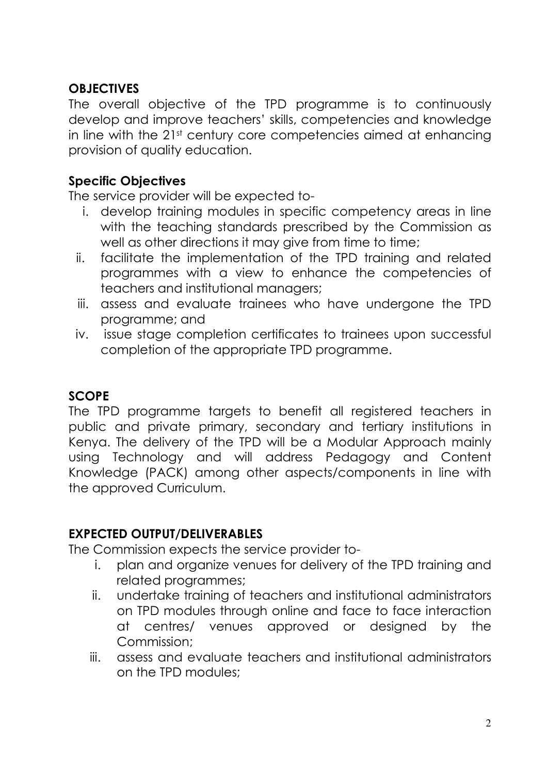## **OBJECTIVES**

The overall objective of the TPD programme is to continuously develop and improve teachers' skills, competencies and knowledge in line with the 21st century core competencies aimed at enhancing provision of quality education.

## **Specific Objectives**

The service provider will be expected to-

- i. develop training modules in specific competency areas in line with the teaching standards prescribed by the Commission as well as other directions it may give from time to time;
- ii. facilitate the implementation of the TPD training and related programmes with a view to enhance the competencies of teachers and institutional managers;
- iii. assess and evaluate trainees who have undergone the TPD programme; and
- iv. issue stage completion certificates to trainees upon successful completion of the appropriate TPD programme.

### **SCOPE**

The TPD programme targets to benefit all registered teachers in public and private primary, secondary and tertiary institutions in Kenya. The delivery of the TPD will be a Modular Approach mainly using Technology and will address Pedagogy and Content Knowledge (PACK) among other aspects/components in line with the approved Curriculum.

# **EXPECTED OUTPUT/DELIVERABLES**

The Commission expects the service provider to-

- i. plan and organize venues for delivery of the TPD training and related programmes;
- ii. undertake training of teachers and institutional administrators on TPD modules through online and face to face interaction at centres/ venues approved or designed by the Commission;
- iii. assess and evaluate teachers and institutional administrators on the TPD modules;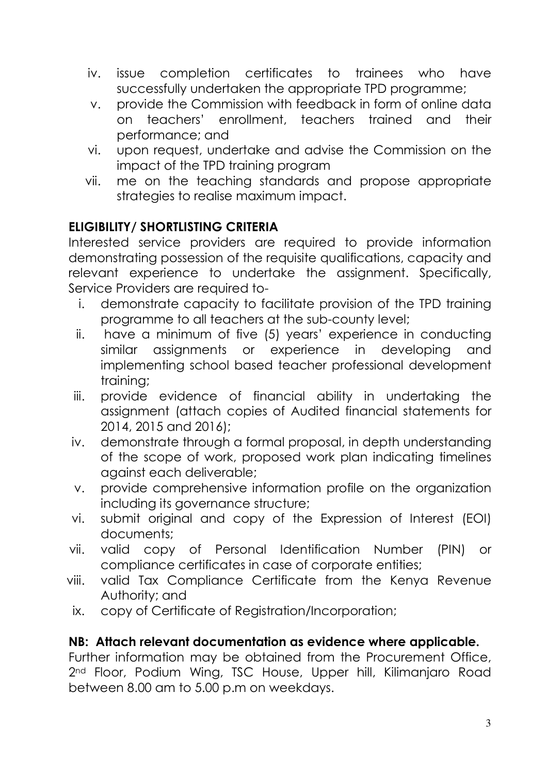- iv. issue completion certificates to trainees who have successfully undertaken the appropriate TPD programme;
- v. provide the Commission with feedback in form of online data on teachers' enrollment, teachers trained and their performance; and
- vi. upon request, undertake and advise the Commission on the impact of the TPD training program
- vii. me on the teaching standards and propose appropriate strategies to realise maximum impact.

# **ELIGIBILITY/ SHORTLISTING CRITERIA**

Interested service providers are required to provide information demonstrating possession of the requisite qualifications, capacity and relevant experience to undertake the assignment. Specifically, Service Providers are required to-

- i. demonstrate capacity to facilitate provision of the TPD training programme to all teachers at the sub-county level;
- ii. have a minimum of five (5) years' experience in conducting similar assignments or experience in developing and implementing school based teacher professional development training;
- iii. provide evidence of financial ability in undertaking the assignment (attach copies of Audited financial statements for 2014, 2015 and 2016);
- iv. demonstrate through a formal proposal, in depth understanding of the scope of work, proposed work plan indicating timelines against each deliverable;
- v. provide comprehensive information profile on the organization including its governance structure;
- vi. submit original and copy of the Expression of Interest (EOI) documents;
- vii. valid copy of Personal Identification Number (PIN) or compliance certificates in case of corporate entities;
- viii. valid Tax Compliance Certificate from the Kenya Revenue Authority; and
- ix. copy of Certificate of Registration/Incorporation;

### **NB: Attach relevant documentation as evidence where applicable.**

Further information may be obtained from the Procurement Office, 2<sup>nd</sup> Floor, Podium Wing, TSC House, Upper hill, Kilimanjaro Road between 8.00 am to 5.00 p.m on weekdays.